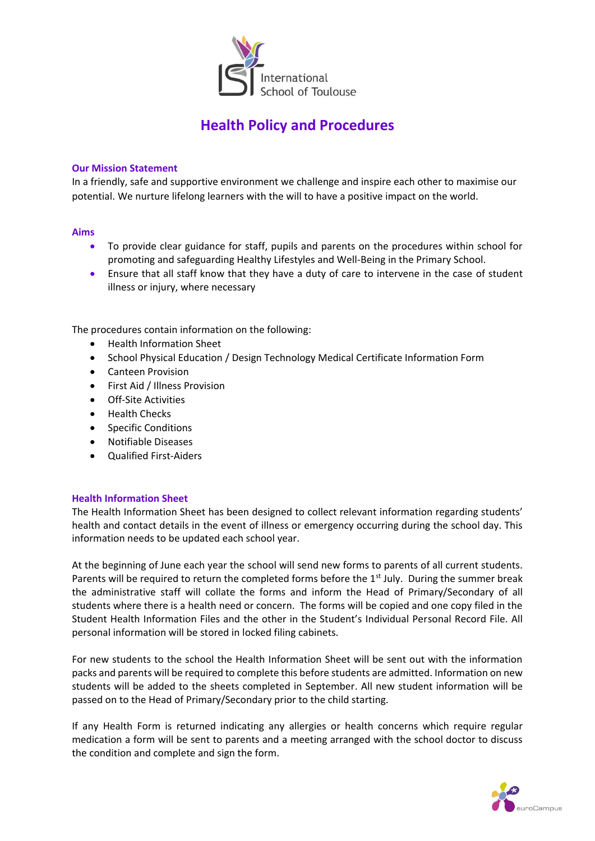

# **Health Policy and Procedures**

### **Our Mission Statement**

In a friendly, safe and supportive environment we challenge and inspire each other to maximise our potential. We nurture lifelong learners with the will to have a positive impact on the world.

#### **Aims**

- To provide clear guidance for staff, pupils and parents on the procedures within school for promoting and safeguarding Healthy Lifestyles and Well-Being in the Primary School.
- Ensure that all staff know that they have a duty of care to intervene in the case of student illness or injury, where necessary

The procedures contain information on the following:

- Health Information Sheet
- School Physical Education / Design Technology Medical Certificate Information Form
- Canteen Provision
- First Aid / Illness Provision
- Off-Site Activities
- Health Checks
- Specific Conditions
- Notifiable Diseases
- Qualified First-Aiders

### **Health Information Sheet**

The Health Information Sheet has been designed to collect relevant information regarding students' health and contact details in the event of illness or emergency occurring during the school day. This information needs to be updated each school year.

At the beginning of June each year the school will send new forms to parents of all current students. Parents will be required to return the completed forms before the 1<sup>st</sup> July. During the summer break the administrative staff will collate the forms and inform the Head of Primary/Secondary of all students where there is a health need or concern. The forms will be copied and one copy filed in the Student Health Information Files and the other in the Student's Individual Personal Record File. All personal information will be stored in locked filing cabinets.

For new students to the school the Health Information Sheet will be sent out with the information packs and parents will be required to complete this before students are admitted. Information on new students will be added to the sheets completed in September. All new student information will be passed on to the Head of Primary/Secondary prior to the child starting.

If any Health Form is returned indicating any allergies or health concerns which require regular medication a form will be sent to parents and a meeting arranged with the school doctor to discuss the condition and complete and sign the form.

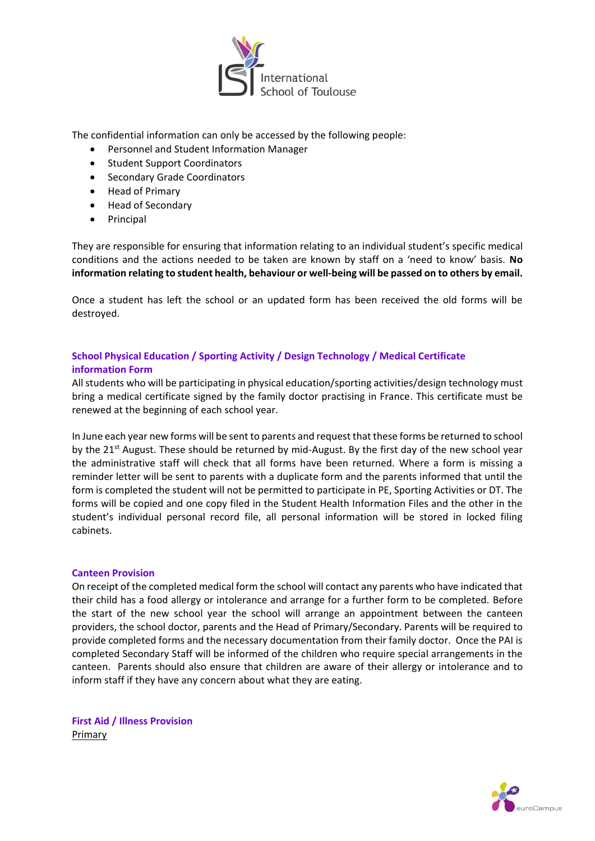

The confidential information can only be accessed by the following people:

- Personnel and Student Information Manager
- Student Support Coordinators
- Secondary Grade Coordinators
- Head of Primary
- Head of Secondary
- Principal

They are responsible for ensuring that information relating to an individual student's specific medical conditions and the actions needed to be taken are known by staff on a 'need to know' basis. **No information relating to student health, behaviour or well-being will be passed on to others by email.**

Once a student has left the school or an updated form has been received the old forms will be destroyed.

# **School Physical Education / Sporting Activity / Design Technology / Medical Certificate information Form**

All students who will be participating in physical education/sporting activities/design technology must bring a medical certificate signed by the family doctor practising in France. This certificate must be renewed at the beginning of each school year.

In June each year new forms will be sent to parents and request that these forms be returned to school by the 21<sup>st</sup> August. These should be returned by mid-August. By the first day of the new school year the administrative staff will check that all forms have been returned. Where a form is missing a reminder letter will be sent to parents with a duplicate form and the parents informed that until the form is completed the student will not be permitted to participate in PE, Sporting Activities or DT. The forms will be copied and one copy filed in the Student Health Information Files and the other in the student's individual personal record file, all personal information will be stored in locked filing cabinets.

### **Canteen Provision**

On receipt of the completed medical form the school will contact any parents who have indicated that their child has a food allergy or intolerance and arrange for a further form to be completed. Before the start of the new school year the school will arrange an appointment between the canteen providers, the school doctor, parents and the Head of Primary/Secondary. Parents will be required to provide completed forms and the necessary documentation from their family doctor. Once the PAI is completed Secondary Staff will be informed of the children who require special arrangements in the canteen. Parents should also ensure that children are aware of their allergy or intolerance and to inform staff if they have any concern about what they are eating.

**First Aid / Illness Provision Primary** 

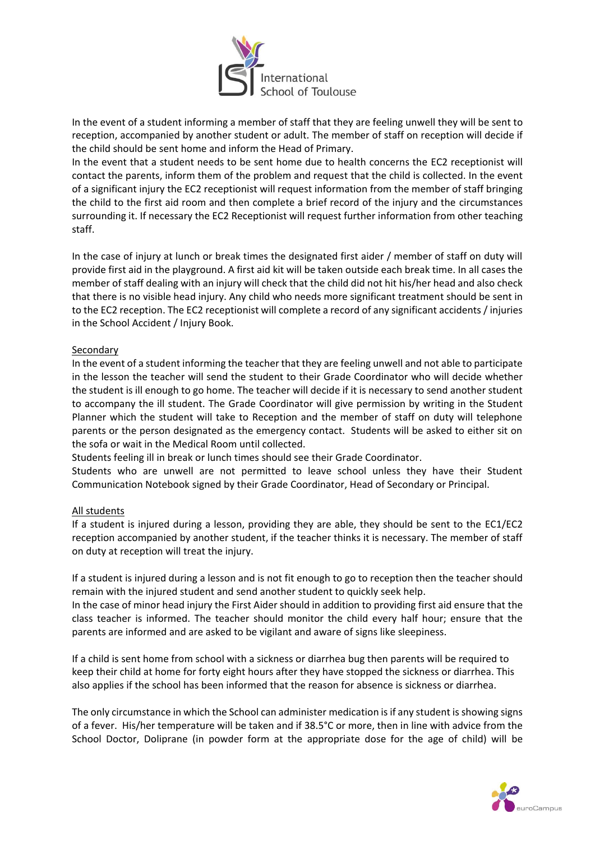

In the event of a student informing a member of staff that they are feeling unwell they will be sent to reception, accompanied by another student or adult. The member of staff on reception will decide if the child should be sent home and inform the Head of Primary.

In the event that a student needs to be sent home due to health concerns the EC2 receptionist will contact the parents, inform them of the problem and request that the child is collected. In the event of a significant injury the EC2 receptionist will request information from the member of staff bringing the child to the first aid room and then complete a brief record of the injury and the circumstances surrounding it. If necessary the EC2 Receptionist will request further information from other teaching staff.

In the case of injury at lunch or break times the designated first aider / member of staff on duty will provide first aid in the playground. A first aid kit will be taken outside each break time. In all cases the member of staff dealing with an injury will check that the child did not hit his/her head and also check that there is no visible head injury. Any child who needs more significant treatment should be sent in to the EC2 reception. The EC2 receptionist will complete a record of any significant accidents / injuries in the School Accident / Injury Book.

## Secondary

In the event of a student informing the teacher that they are feeling unwell and not able to participate in the lesson the teacher will send the student to their Grade Coordinator who will decide whether the student is ill enough to go home. The teacher will decide if it is necessary to send another student to accompany the ill student. The Grade Coordinator will give permission by writing in the Student Planner which the student will take to Reception and the member of staff on duty will telephone parents or the person designated as the emergency contact. Students will be asked to either sit on the sofa or wait in the Medical Room until collected.

Students feeling ill in break or lunch times should see their Grade Coordinator.

Students who are unwell are not permitted to leave school unless they have their Student Communication Notebook signed by their Grade Coordinator, Head of Secondary or Principal.

### All students

If a student is injured during a lesson, providing they are able, they should be sent to the EC1/EC2 reception accompanied by another student, if the teacher thinks it is necessary. The member of staff on duty at reception will treat the injury.

If a student is injured during a lesson and is not fit enough to go to reception then the teacher should remain with the injured student and send another student to quickly seek help.

In the case of minor head injury the First Aider should in addition to providing first aid ensure that the class teacher is informed. The teacher should monitor the child every half hour; ensure that the parents are informed and are asked to be vigilant and aware of signs like sleepiness.

If a child is sent home from school with a sickness or diarrhea bug then parents will be required to keep their child at home for forty eight hours after they have stopped the sickness or diarrhea. This also applies if the school has been informed that the reason for absence is sickness or diarrhea.

The only circumstance in which the School can administer medication is if any student is showing signs of a fever. His/her temperature will be taken and if 38.5°C or more, then in line with advice from the School Doctor, Doliprane (in powder form at the appropriate dose for the age of child) will be

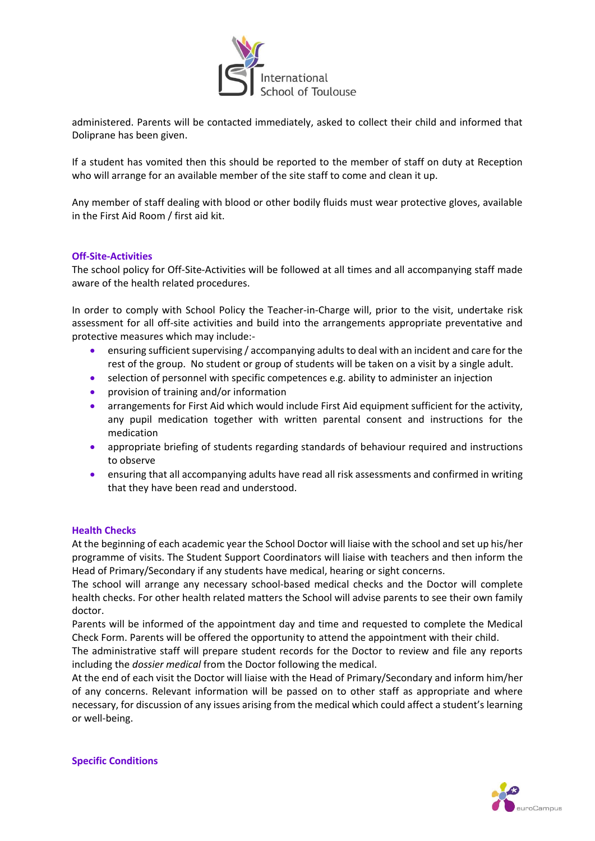

administered. Parents will be contacted immediately, asked to collect their child and informed that Doliprane has been given.

If a student has vomited then this should be reported to the member of staff on duty at Reception who will arrange for an available member of the site staff to come and clean it up.

Any member of staff dealing with blood or other bodily fluids must wear protective gloves, available in the First Aid Room / first aid kit.

### **Off-Site-Activities**

The school policy for Off-Site-Activities will be followed at all times and all accompanying staff made aware of the health related procedures.

In order to comply with School Policy the Teacher-in-Charge will, prior to the visit, undertake risk assessment for all off-site activities and build into the arrangements appropriate preventative and protective measures which may include:-

- ensuring sufficient supervising / accompanying adults to deal with an incident and care for the rest of the group. No student or group of students will be taken on a visit by a single adult.
- selection of personnel with specific competences e.g. ability to administer an injection
- provision of training and/or information
- arrangements for First Aid which would include First Aid equipment sufficient for the activity, any pupil medication together with written parental consent and instructions for the medication
- appropriate briefing of students regarding standards of behaviour required and instructions to observe
- ensuring that all accompanying adults have read all risk assessments and confirmed in writing that they have been read and understood.

#### **Health Checks**

At the beginning of each academic year the School Doctor will liaise with the school and set up his/her programme of visits. The Student Support Coordinators will liaise with teachers and then inform the Head of Primary/Secondary if any students have medical, hearing or sight concerns.

The school will arrange any necessary school-based medical checks and the Doctor will complete health checks. For other health related matters the School will advise parents to see their own family doctor.

Parents will be informed of the appointment day and time and requested to complete the Medical Check Form. Parents will be offered the opportunity to attend the appointment with their child.

The administrative staff will prepare student records for the Doctor to review and file any reports including the *dossier medical* from the Doctor following the medical.

At the end of each visit the Doctor will liaise with the Head of Primary/Secondary and inform him/her of any concerns. Relevant information will be passed on to other staff as appropriate and where necessary, for discussion of any issues arising from the medical which could affect a student's learning or well-being.



**Specific Conditions**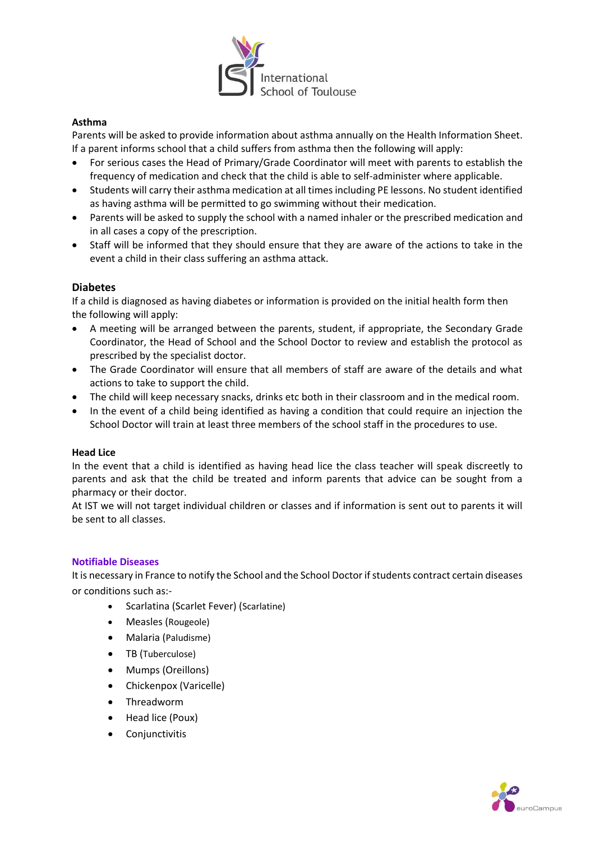

# **Asthma**

Parents will be asked to provide information about asthma annually on the Health Information Sheet. If a parent informs school that a child suffers from asthma then the following will apply:

- For serious cases the Head of Primary/Grade Coordinator will meet with parents to establish the frequency of medication and check that the child is able to self-administer where applicable.
- Students will carry their asthma medication at all times including PE lessons. No student identified as having asthma will be permitted to go swimming without their medication.
- Parents will be asked to supply the school with a named inhaler or the prescribed medication and in all cases a copy of the prescription.
- Staff will be informed that they should ensure that they are aware of the actions to take in the event a child in their class suffering an asthma attack.

## **Diabetes**

If a child is diagnosed as having diabetes or information is provided on the initial health form then the following will apply:

- A meeting will be arranged between the parents, student, if appropriate, the Secondary Grade Coordinator, the Head of School and the School Doctor to review and establish the protocol as prescribed by the specialist doctor.
- The Grade Coordinator will ensure that all members of staff are aware of the details and what actions to take to support the child.
- The child will keep necessary snacks, drinks etc both in their classroom and in the medical room.
- In the event of a child being identified as having a condition that could require an injection the School Doctor will train at least three members of the school staff in the procedures to use.

### **Head Lice**

In the event that a child is identified as having head lice the class teacher will speak discreetly to parents and ask that the child be treated and inform parents that advice can be sought from a pharmacy or their doctor.

At IST we will not target individual children or classes and if information is sent out to parents it will be sent to all classes.

### **Notifiable Diseases**

It is necessary in France to notify the School and the School Doctor if students contract certain diseases or conditions such as:-

- Scarlatina (Scarlet Fever) (Scarlatine)
- Measles (Rougeole)
- Malaria (Paludisme)
- TB (Tuberculose)
- Mumps (Oreillons)
- Chickenpox (Varicelle)
- Threadworm
- Head lice (Poux)
- **Conjunctivitis**